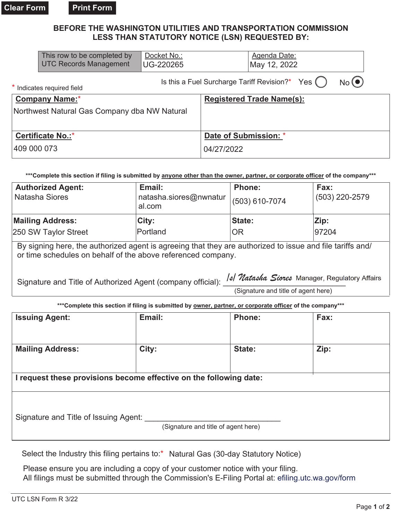**Print Form** 

## BEFORE THE WASHINGTON UTILITIES AND TRANSPORTATION COMMISSION LESS THAN STATUTORY NOTICE (LSN) REQUESTED BY:

|                                                                                                                                 | And the anti-seal Andrew Arts                | $F \sim 11$      | <b>DEAMAN</b>                    |                                                   | <b>FALL</b> |  |  |  |
|---------------------------------------------------------------------------------------------------------------------------------|----------------------------------------------|------------------|----------------------------------|---------------------------------------------------|-------------|--|--|--|
| ***Complete this section if filing is submitted by anyone other than the owner, partner, or corporate officer of the company*** |                                              |                  |                                  |                                                   |             |  |  |  |
| 409 000 073                                                                                                                     |                                              |                  | 04/27/2022                       |                                                   |             |  |  |  |
| Certificate No.:*                                                                                                               |                                              |                  | Date of Submission: *            |                                                   |             |  |  |  |
|                                                                                                                                 | Northwest Natural Gas Company dba NW Natural |                  |                                  |                                                   |             |  |  |  |
| <b>Company Name:*</b>                                                                                                           |                                              |                  | <b>Registered Trade Name(s):</b> |                                                   |             |  |  |  |
|                                                                                                                                 | * Indicates required field                   |                  |                                  | Is this a Fuel Surcharge Tariff Revision?* Yes () | No(         |  |  |  |
|                                                                                                                                 | <b>UTC Records Management</b>                | <b>UG-220265</b> |                                  | May 12, 2022                                      |             |  |  |  |
|                                                                                                                                 | This row to be completed by                  | Docket No.:      |                                  | Agenda Date:                                      |             |  |  |  |

| <b>Authorized Agent:</b><br>Natasha Siores                                                                                                                                                                                  | Email:<br>natasha.siores@nwnatur<br>al.com | Phone:<br>(503) 610-7074                                                                 | Fax:<br>(503) 220-2579 |  |  |  |
|-----------------------------------------------------------------------------------------------------------------------------------------------------------------------------------------------------------------------------|--------------------------------------------|------------------------------------------------------------------------------------------|------------------------|--|--|--|
| <b>Mailing Address:</b>                                                                                                                                                                                                     | City:                                      | State:                                                                                   | Zip:                   |  |  |  |
| 250 SW Taylor Street                                                                                                                                                                                                        | Portland                                   | <b>IOR</b>                                                                               | 97204                  |  |  |  |
| By signing here, the authorized agent is agreeing that they are authorized to issue and file tariffs and/<br>or time schedules on behalf of the above referenced company.                                                   |                                            |                                                                                          |                        |  |  |  |
| Signature and Title of Authorized Agent (company official):                                                                                                                                                                 |                                            | <b>Similar Scores</b> Manager, Regulatory Affairs<br>(Signature and title of agent here) |                        |  |  |  |
| 4440 - 1980 - 1980 - 1980 - 1980 - 1980 - 1980 - 1980 - 1980 - 1980 - 1980 - 1980 - 1980 - 1980 - 1980 - 1980 - 1980 - 1980 - 1980 - 1980 - 1980 - 1980 - 1980 - 1980 - 1980 - 1980 - 1980 - 1980 - 1980 - 1980 - 1980 - 19 |                                            |                                                                                          |                        |  |  |  |

| """Complete this section if filling is submitted by <u>owner, partner, or corporate officer</u> of the company""" |                                     |               |      |  |  |  |  |
|-------------------------------------------------------------------------------------------------------------------|-------------------------------------|---------------|------|--|--|--|--|
| <b>Issuing Agent:</b>                                                                                             | Email:                              | <b>Phone:</b> | Fax: |  |  |  |  |
| <b>Mailing Address:</b>                                                                                           | City:                               | State:        | Zip: |  |  |  |  |
| I request these provisions become effective on the following date:                                                |                                     |               |      |  |  |  |  |
| Signature and Title of Issuing Agent:                                                                             | (Signature and title of agent here) |               |      |  |  |  |  |

Select the Industry this filing pertains to:\* Natural Gas (30-day Statutory Notice)

Please ensure you are including a copy of your customer notice with your filing. All filings must be submitted through the Commission's E-Filing Portal at: efiling utc.wa.gov/form